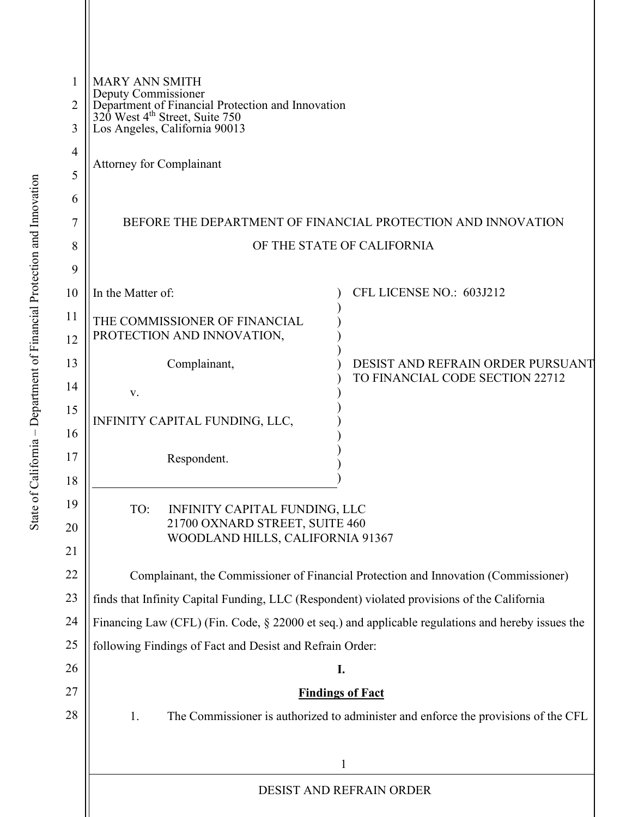| 1<br>$\overline{2}$ | <b>MARY ANN SMITH</b><br>Deputy Commissioner<br>Department of Financial Protection and Innovation<br>320 West 4 <sup>th</sup> Street, Suite 750 |                                                                      |  |
|---------------------|-------------------------------------------------------------------------------------------------------------------------------------------------|----------------------------------------------------------------------|--|
| 3                   | Los Angeles, California 90013                                                                                                                   |                                                                      |  |
| $\overline{4}$      |                                                                                                                                                 |                                                                      |  |
| 5                   | <b>Attorney for Complainant</b>                                                                                                                 |                                                                      |  |
| 6                   |                                                                                                                                                 |                                                                      |  |
| 7                   | BEFORE THE DEPARTMENT OF FINANCIAL PROTECTION AND INNOVATION                                                                                    |                                                                      |  |
| 8                   | OF THE STATE OF CALIFORNIA                                                                                                                      |                                                                      |  |
| 9                   |                                                                                                                                                 |                                                                      |  |
| 10                  | In the Matter of:                                                                                                                               | CFL LICENSE NO.: 603J212                                             |  |
| 11                  | THE COMMISSIONER OF FINANCIAL                                                                                                                   |                                                                      |  |
| 12                  | PROTECTION AND INNOVATION,                                                                                                                      |                                                                      |  |
| 13                  | Complainant,                                                                                                                                    | DESIST AND REFRAIN ORDER PURSUANT<br>TO FINANCIAL CODE SECTION 22712 |  |
| 14                  | V.                                                                                                                                              |                                                                      |  |
| 15                  | INFINITY CAPITAL FUNDING, LLC,                                                                                                                  |                                                                      |  |
| 16<br>17            |                                                                                                                                                 |                                                                      |  |
| 18                  | Respondent.                                                                                                                                     |                                                                      |  |
| 19                  |                                                                                                                                                 |                                                                      |  |
| 20                  | TO:<br>INFINITY CAPITAL FUNDING, LLC<br>21700 OXNARD STREET, SUITE 460                                                                          |                                                                      |  |
| 21                  | WOODLAND HILLS, CALIFORNIA 91367                                                                                                                |                                                                      |  |
| 22                  | Complainant, the Commissioner of Financial Protection and Innovation (Commissioner)                                                             |                                                                      |  |
| 23                  | finds that Infinity Capital Funding, LLC (Respondent) violated provisions of the California                                                     |                                                                      |  |
| 24                  | Financing Law (CFL) (Fin. Code, § 22000 et seq.) and applicable regulations and hereby issues the                                               |                                                                      |  |
| 25                  | following Findings of Fact and Desist and Refrain Order:                                                                                        |                                                                      |  |
| 26                  | I.                                                                                                                                              |                                                                      |  |
| 27                  | <b>Findings of Fact</b>                                                                                                                         |                                                                      |  |
| 28                  | 1.<br>The Commissioner is authorized to administer and enforce the provisions of the CFL                                                        |                                                                      |  |
|                     | 1<br><b>DESIST AND REFRAIN ORDER</b>                                                                                                            |                                                                      |  |
|                     |                                                                                                                                                 |                                                                      |  |
|                     |                                                                                                                                                 |                                                                      |  |
|                     |                                                                                                                                                 |                                                                      |  |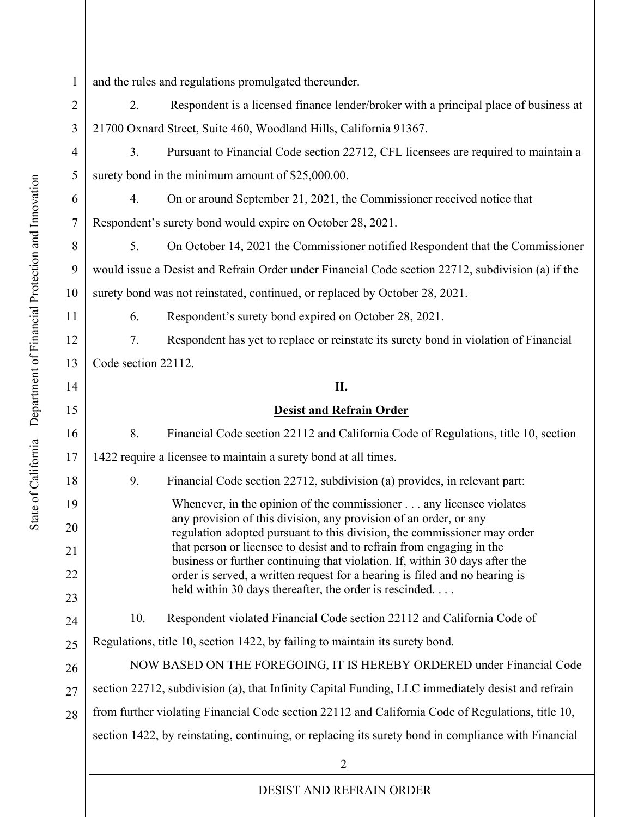$\mathfrak{D}$ 1 2 3 4 5 6 7 8 9 10 11 12 13 14 15 16 17 18 19 20 21 22 23 24 25 26 27 28 and the rules and regulations promulgated thereunder. 2. Respondent is a licensed finance lender/broker with a principal place of business at 21700 Oxnard Street, Suite 460, Woodland Hills, California 91367. 3. Pursuant to Financial Code section 22712, CFL licensees are required to maintain a surety bond in the minimum amount of \$25,000.00. 4. On or around September 21, 2021, the Commissioner received notice that Respondent's surety bond would expire on October 28, 2021. 5. On October 14, 2021 the Commissioner notified Respondent that the Commissioner would issue a Desist and Refrain Order under Financial Code section 22712, subdivision (a) if the surety bond was not reinstated, continued, or replaced by October 28, 2021. 6. Respondent's surety bond expired on October 28, 2021. 7. Respondent has yet to replace or reinstate its surety bond in violation of Financial Code section 22112. **II. Desist and Refrain Order** 8. Financial Code section 22112 and California Code of Regulations, title 10, section 1422 require a licensee to maintain a surety bond at all times. 9. Financial Code section 22712, subdivision (a) provides, in relevant part: Whenever, in the opinion of the commissioner . . . any licensee violates any provision of this division, any provision of an order, or any regulation adopted pursuant to this division, the commissioner may order that person or licensee to desist and to refrain from engaging in the business or further continuing that violation. If, within 30 days after the order is served, a written request for a hearing is filed and no hearing is held within 30 days thereafter, the order is rescinded. . . . 10. Respondent violated Financial Code section 22112 and California Code of Regulations, title 10, section 1422, by failing to maintain its surety bond. NOW BASED ON THE FOREGOING, IT IS HEREBY ORDERED under Financial Code section 22712, subdivision (a), that Infinity Capital Funding, LLC immediately desist and refrain from further violating Financial Code section 22112 and California Code of Regulations, title 10, section 1422, by reinstating, continuing, or replacing its surety bond in compliance with Financial

DESIST AND REFRAIN ORDER